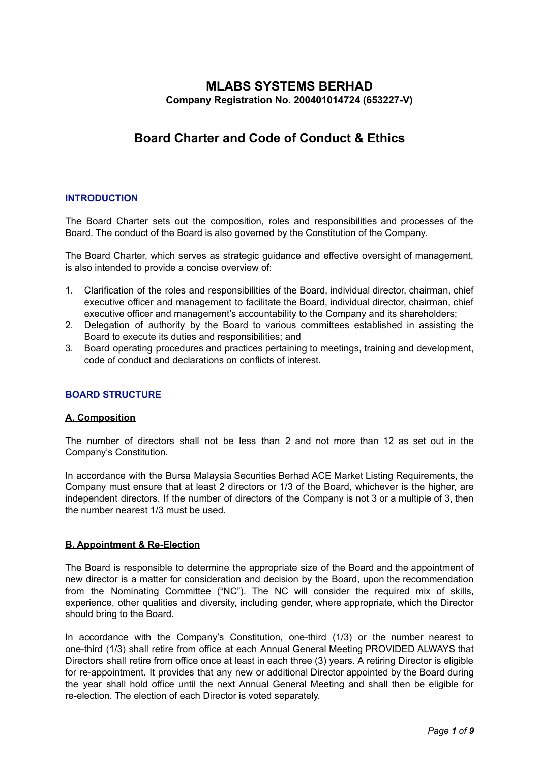# **MLABS SYSTEMS BERHAD Company Registration No. 200401014724 (653227-V)**

# **Board Charter and Code of Conduct & Ethics**

# **INTRODUCTION**

The Board Charter sets out the composition, roles and responsibilities and processes of the Board. The conduct of the Board is also governed by the Constitution of the Company.

The Board Charter, which serves as strategic guidance and effective oversight of management, is also intended to provide a concise overview of:

- 1. Clarification of the roles and responsibilities of the Board, individual director, chairman, chief executive officer and management to facilitate the Board, individual director, chairman, chief executive officer and management's accountability to the Company and its shareholders;
- 2. Delegation of authority by the Board to various committees established in assisting the Board to execute its duties and responsibilities; and
- 3. Board operating procedures and practices pertaining to meetings, training and development, code of conduct and declarations on conflicts of interest.

# **BOARD STRUCTURE**

# **A. Composition**

The number of directors shall not be less than 2 and not more than 12 as set out in the Company's Constitution.

In accordance with the Bursa Malaysia Securities Berhad ACE Market Listing Requirements, the Company must ensure that at least 2 directors or 1/3 of the Board, whichever is the higher, are independent directors. If the number of directors of the Company is not 3 or a multiple of 3, then the number nearest 1/3 must be used.

# **B. Appointment & Re-Election**

The Board is responsible to determine the appropriate size of the Board and the appointment of new director is a matter for consideration and decision by the Board, upon the recommendation from the Nominating Committee ("NC"). The NC will consider the required mix of skills, experience, other qualities and diversity, including gender, where appropriate, which the Director should bring to the Board.

In accordance with the Company's Constitution, one-third (1/3) or the number nearest to one-third (1/3) shall retire from office at each Annual General Meeting PROVIDED ALWAYS that Directors shall retire from office once at least in each three (3) years. A retiring Director is eligible for re-appointment. It provides that any new or additional Director appointed by the Board during the year shall hold office until the next Annual General Meeting and shall then be eligible for re-election. The election of each Director is voted separately.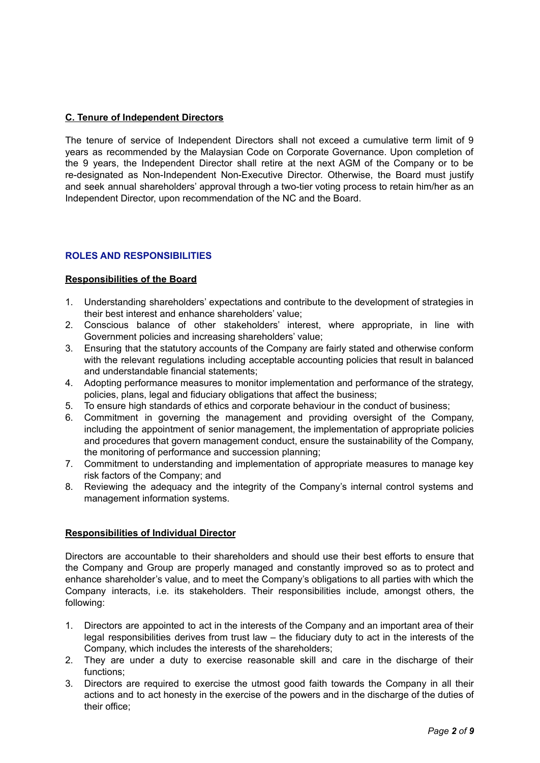# **C. Tenure of Independent Directors**

The tenure of service of Independent Directors shall not exceed a cumulative term limit of 9 years as recommended by the Malaysian Code on Corporate Governance. Upon completion of the 9 years, the Independent Director shall retire at the next AGM of the Company or to be re-designated as Non-Independent Non-Executive Director. Otherwise, the Board must justify and seek annual shareholders' approval through a two-tier voting process to retain him/her as an Independent Director, upon recommendation of the NC and the Board.

# **ROLES AND RESPONSIBILITIES**

# **Responsibilities of the Board**

- 1. Understanding shareholders' expectations and contribute to the development of strategies in their best interest and enhance shareholders' value;
- 2. Conscious balance of other stakeholders' interest, where appropriate, in line with Government policies and increasing shareholders' value;
- 3. Ensuring that the statutory accounts of the Company are fairly stated and otherwise conform with the relevant regulations including acceptable accounting policies that result in balanced and understandable financial statements;
- 4. Adopting performance measures to monitor implementation and performance of the strategy, policies, plans, legal and fiduciary obligations that affect the business;
- 5. To ensure high standards of ethics and corporate behaviour in the conduct of business;
- 6. Commitment in governing the management and providing oversight of the Company, including the appointment of senior management, the implementation of appropriate policies and procedures that govern management conduct, ensure the sustainability of the Company, the monitoring of performance and succession planning;
- 7. Commitment to understanding and implementation of appropriate measures to manage key risk factors of the Company; and
- 8. Reviewing the adequacy and the integrity of the Company's internal control systems and management information systems.

# **Responsibilities of Individual Director**

Directors are accountable to their shareholders and should use their best efforts to ensure that the Company and Group are properly managed and constantly improved so as to protect and enhance shareholder's value, and to meet the Company's obligations to all parties with which the Company interacts, i.e. its stakeholders. Their responsibilities include, amongst others, the following:

- 1. Directors are appointed to act in the interests of the Company and an important area of their legal responsibilities derives from trust law – the fiduciary duty to act in the interests of the Company, which includes the interests of the shareholders;
- 2. They are under a duty to exercise reasonable skill and care in the discharge of their functions;
- 3. Directors are required to exercise the utmost good faith towards the Company in all their actions and to act honesty in the exercise of the powers and in the discharge of the duties of their office;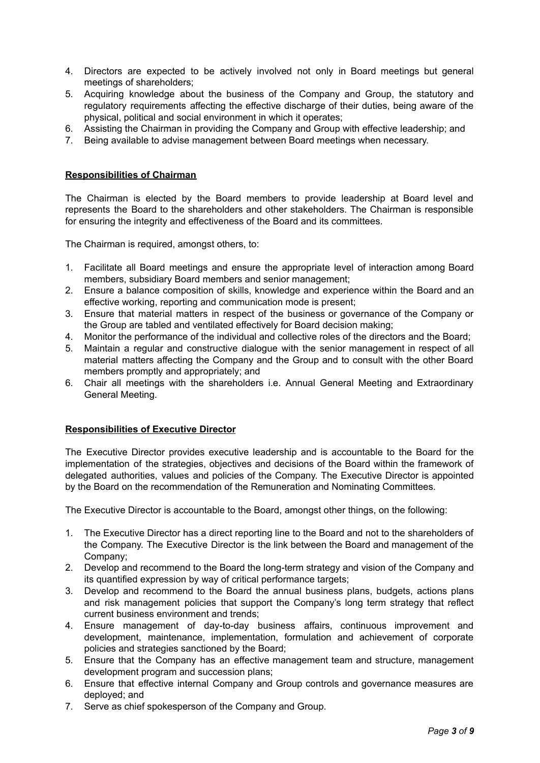- 4. Directors are expected to be actively involved not only in Board meetings but general meetings of shareholders;
- 5. Acquiring knowledge about the business of the Company and Group, the statutory and requilatory requirements affecting the effective discharge of their duties, being aware of the physical, political and social environment in which it operates;
- 6. Assisting the Chairman in providing the Company and Group with effective leadership; and
- 7. Being available to advise management between Board meetings when necessary.

# **Responsibilities of Chairman**

The Chairman is elected by the Board members to provide leadership at Board level and represents the Board to the shareholders and other stakeholders. The Chairman is responsible for ensuring the integrity and effectiveness of the Board and its committees.

The Chairman is required, amongst others, to:

- 1. Facilitate all Board meetings and ensure the appropriate level of interaction among Board members, subsidiary Board members and senior management;
- 2. Ensure a balance composition of skills, knowledge and experience within the Board and an effective working, reporting and communication mode is present;
- 3. Ensure that material matters in respect of the business or governance of the Company or the Group are tabled and ventilated effectively for Board decision making;
- 4. Monitor the performance of the individual and collective roles of the directors and the Board;
- 5. Maintain a regular and constructive dialogue with the senior management in respect of all material matters affecting the Company and the Group and to consult with the other Board members promptly and appropriately; and
- 6. Chair all meetings with the shareholders i.e. Annual General Meeting and Extraordinary General Meeting.

#### **Responsibilities of Executive Director**

The Executive Director provides executive leadership and is accountable to the Board for the implementation of the strategies, objectives and decisions of the Board within the framework of delegated authorities, values and policies of the Company. The Executive Director is appointed by the Board on the recommendation of the Remuneration and Nominating Committees.

The Executive Director is accountable to the Board, amongst other things, on the following:

- 1. The Executive Director has a direct reporting line to the Board and not to the shareholders of the Company. The Executive Director is the link between the Board and management of the Company;
- 2. Develop and recommend to the Board the long-term strategy and vision of the Company and its quantified expression by way of critical performance targets;
- 3. Develop and recommend to the Board the annual business plans, budgets, actions plans and risk management policies that support the Company's long term strategy that reflect current business environment and trends;
- 4. Ensure management of day-to-day business affairs, continuous improvement and development, maintenance, implementation, formulation and achievement of corporate policies and strategies sanctioned by the Board;
- 5. Ensure that the Company has an effective management team and structure, management development program and succession plans;
- 6. Ensure that effective internal Company and Group controls and governance measures are deployed; and
- 7. Serve as chief spokesperson of the Company and Group.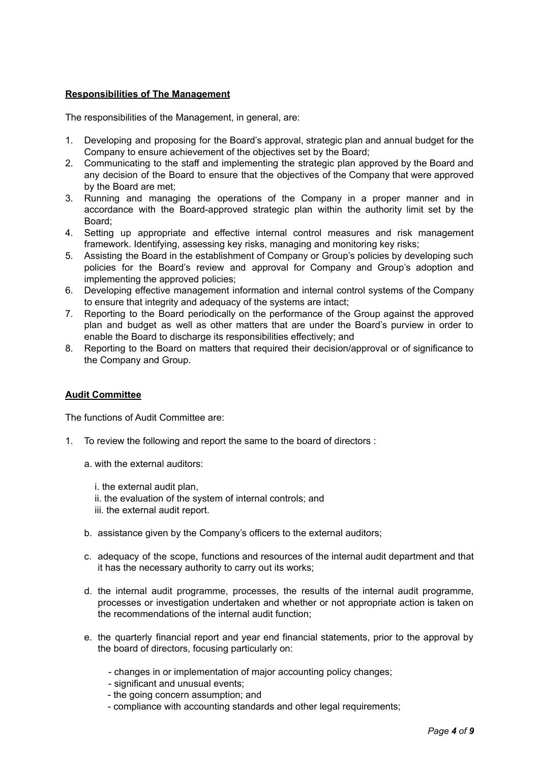# **Responsibilities of The Management**

The responsibilities of the Management, in general, are:

- 1. Developing and proposing for the Board's approval, strategic plan and annual budget for the Company to ensure achievement of the objectives set by the Board;
- 2. Communicating to the staff and implementing the strategic plan approved by the Board and any decision of the Board to ensure that the objectives of the Company that were approved by the Board are met;
- 3. Running and managing the operations of the Company in a proper manner and in accordance with the Board-approved strategic plan within the authority limit set by the Board;
- 4. Setting up appropriate and effective internal control measures and risk management framework. Identifying, assessing key risks, managing and monitoring key risks;
- 5. Assisting the Board in the establishment of Company or Group's policies by developing such policies for the Board's review and approval for Company and Group's adoption and implementing the approved policies;
- 6. Developing effective management information and internal control systems of the Company to ensure that integrity and adequacy of the systems are intact;
- 7. Reporting to the Board periodically on the performance of the Group against the approved plan and budget as well as other matters that are under the Board's purview in order to enable the Board to discharge its responsibilities effectively; and
- 8. Reporting to the Board on matters that required their decision/approval or of significance to the Company and Group.

# **Audit Committee**

The functions of Audit Committee are:

- 1. To review the following and report the same to the board of directors :
	- a. with the external auditors:
		- i. the external audit plan,
		- ii. the evaluation of the system of internal controls; and
		- iii. the external audit report.
	- b. assistance given by the Company's officers to the external auditors;
	- c. adequacy of the scope, functions and resources of the internal audit department and that it has the necessary authority to carry out its works;
	- d. the internal audit programme, processes, the results of the internal audit programme, processes or investigation undertaken and whether or not appropriate action is taken on the recommendations of the internal audit function;
	- e. the quarterly financial report and year end financial statements, prior to the approval by the board of directors, focusing particularly on:
		- changes in or implementation of major accounting policy changes;
		- significant and unusual events;
		- the going concern assumption; and
		- compliance with accounting standards and other legal requirements;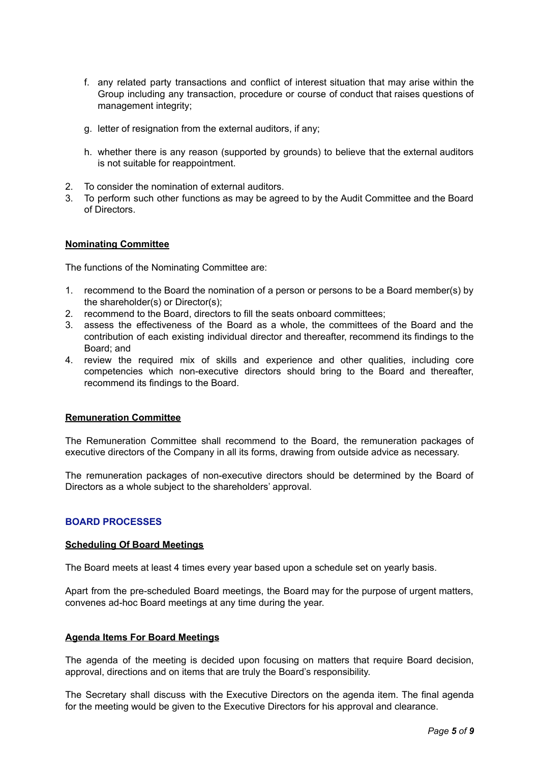- f. any related party transactions and conflict of interest situation that may arise within the Group including any transaction, procedure or course of conduct that raises questions of management integrity;
- g. letter of resignation from the external auditors, if any;
- h. whether there is any reason (supported by grounds) to believe that the external auditors is not suitable for reappointment.
- 2. To consider the nomination of external auditors.
- 3. To perform such other functions as may be agreed to by the Audit Committee and the Board of Directors.

### **Nominating Committee**

The functions of the Nominating Committee are:

- 1. recommend to the Board the nomination of a person or persons to be a Board member(s) by the shareholder(s) or Director(s);
- 2. recommend to the Board, directors to fill the seats onboard committees;
- 3. assess the effectiveness of the Board as a whole, the committees of the Board and the contribution of each existing individual director and thereafter, recommend its findings to the Board; and
- 4. review the required mix of skills and experience and other qualities, including core competencies which non-executive directors should bring to the Board and thereafter, recommend its findings to the Board.

#### **Remuneration Committee**

The Remuneration Committee shall recommend to the Board, the remuneration packages of executive directors of the Company in all its forms, drawing from outside advice as necessary.

The remuneration packages of non-executive directors should be determined by the Board of Directors as a whole subject to the shareholders' approval.

# **BOARD PROCESSES**

#### **Scheduling Of Board Meetings**

The Board meets at least 4 times every year based upon a schedule set on yearly basis.

Apart from the pre-scheduled Board meetings, the Board may for the purpose of urgent matters, convenes ad-hoc Board meetings at any time during the year.

#### **Agenda Items For Board Meetings**

The agenda of the meeting is decided upon focusing on matters that require Board decision, approval, directions and on items that are truly the Board's responsibility.

The Secretary shall discuss with the Executive Directors on the agenda item. The final agenda for the meeting would be given to the Executive Directors for his approval and clearance.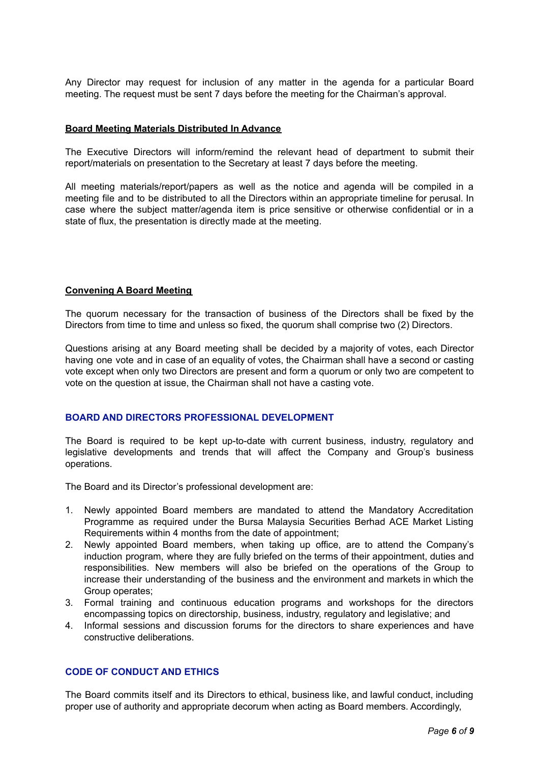Any Director may request for inclusion of any matter in the agenda for a particular Board meeting. The request must be sent 7 days before the meeting for the Chairman's approval.

### **Board Meeting Materials Distributed In Advance**

The Executive Directors will inform/remind the relevant head of department to submit their report/materials on presentation to the Secretary at least 7 days before the meeting.

All meeting materials/report/papers as well as the notice and agenda will be compiled in a meeting file and to be distributed to all the Directors within an appropriate timeline for perusal. In case where the subject matter/agenda item is price sensitive or otherwise confidential or in a state of flux, the presentation is directly made at the meeting.

### **Convening A Board Meeting**

The quorum necessary for the transaction of business of the Directors shall be fixed by the Directors from time to time and unless so fixed, the quorum shall comprise two (2) Directors.

Questions arising at any Board meeting shall be decided by a majority of votes, each Director having one vote and in case of an equality of votes, the Chairman shall have a second or casting vote except when only two Directors are present and form a quorum or only two are competent to vote on the question at issue, the Chairman shall not have a casting vote.

# **BOARD AND DIRECTORS PROFESSIONAL DEVELOPMENT**

The Board is required to be kept up-to-date with current business, industry, regulatory and legislative developments and trends that will affect the Company and Group's business operations.

The Board and its Director's professional development are:

- 1. Newly appointed Board members are mandated to attend the Mandatory Accreditation Programme as required under the Bursa Malaysia Securities Berhad ACE Market Listing Requirements within 4 months from the date of appointment;
- 2. Newly appointed Board members, when taking up office, are to attend the Company's induction program, where they are fully briefed on the terms of their appointment, duties and responsibilities. New members will also be briefed on the operations of the Group to increase their understanding of the business and the environment and markets in which the Group operates;
- 3. Formal training and continuous education programs and workshops for the directors encompassing topics on directorship, business, industry, regulatory and legislative; and
- 4. Informal sessions and discussion forums for the directors to share experiences and have constructive deliberations.

# **CODE OF CONDUCT AND ETHICS**

The Board commits itself and its Directors to ethical, business like, and lawful conduct, including proper use of authority and appropriate decorum when acting as Board members. Accordingly,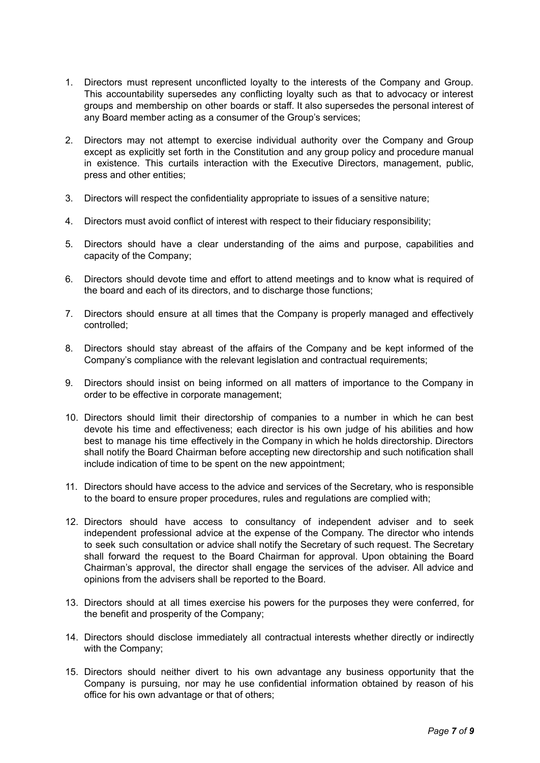- 1. Directors must represent unconflicted loyalty to the interests of the Company and Group. This accountability supersedes any conflicting loyalty such as that to advocacy or interest groups and membership on other boards or staff. It also supersedes the personal interest of any Board member acting as a consumer of the Group's services;
- 2. Directors may not attempt to exercise individual authority over the Company and Group except as explicitly set forth in the Constitution and any group policy and procedure manual in existence. This curtails interaction with the Executive Directors, management, public, press and other entities;
- 3. Directors will respect the confidentiality appropriate to issues of a sensitive nature;
- 4. Directors must avoid conflict of interest with respect to their fiduciary responsibility;
- 5. Directors should have a clear understanding of the aims and purpose, capabilities and capacity of the Company;
- 6. Directors should devote time and effort to attend meetings and to know what is required of the board and each of its directors, and to discharge those functions;
- 7. Directors should ensure at all times that the Company is properly managed and effectively controlled;
- 8. Directors should stay abreast of the affairs of the Company and be kept informed of the Company's compliance with the relevant legislation and contractual requirements;
- 9. Directors should insist on being informed on all matters of importance to the Company in order to be effective in corporate management;
- 10. Directors should limit their directorship of companies to a number in which he can best devote his time and effectiveness; each director is his own judge of his abilities and how best to manage his time effectively in the Company in which he holds directorship. Directors shall notify the Board Chairman before accepting new directorship and such notification shall include indication of time to be spent on the new appointment;
- 11. Directors should have access to the advice and services of the Secretary, who is responsible to the board to ensure proper procedures, rules and regulations are complied with;
- 12. Directors should have access to consultancy of independent adviser and to seek independent professional advice at the expense of the Company. The director who intends to seek such consultation or advice shall notify the Secretary of such request. The Secretary shall forward the request to the Board Chairman for approval. Upon obtaining the Board Chairman's approval, the director shall engage the services of the adviser. All advice and opinions from the advisers shall be reported to the Board.
- 13. Directors should at all times exercise his powers for the purposes they were conferred, for the benefit and prosperity of the Company;
- 14. Directors should disclose immediately all contractual interests whether directly or indirectly with the Company;
- 15. Directors should neither divert to his own advantage any business opportunity that the Company is pursuing, nor may he use confidential information obtained by reason of his office for his own advantage or that of others;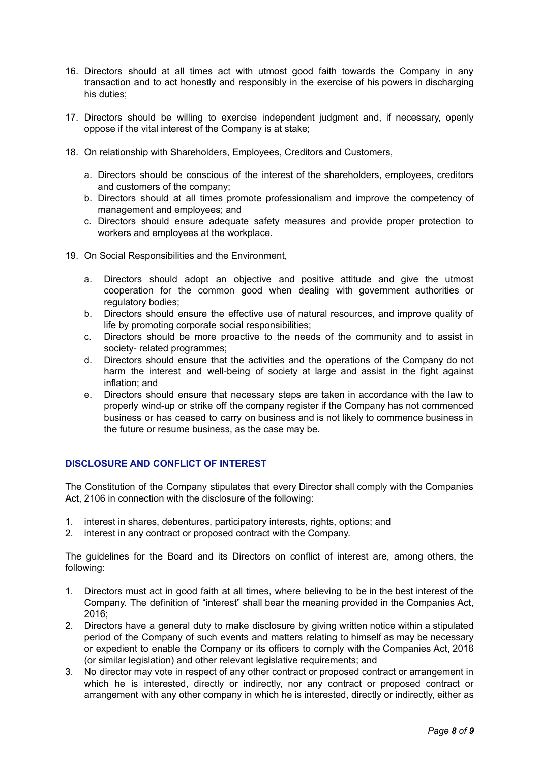- 16. Directors should at all times act with utmost good faith towards the Company in any transaction and to act honestly and responsibly in the exercise of his powers in discharging his duties;
- 17. Directors should be willing to exercise independent judgment and, if necessary, openly oppose if the vital interest of the Company is at stake;
- 18. On relationship with Shareholders, Employees, Creditors and Customers,
	- a. Directors should be conscious of the interest of the shareholders, employees, creditors and customers of the company;
	- b. Directors should at all times promote professionalism and improve the competency of management and employees; and
	- c. Directors should ensure adequate safety measures and provide proper protection to workers and employees at the workplace.
- 19. On Social Responsibilities and the Environment,
	- a. Directors should adopt an objective and positive attitude and give the utmost cooperation for the common good when dealing with government authorities or regulatory bodies;
	- b. Directors should ensure the effective use of natural resources, and improve quality of life by promoting corporate social responsibilities;
	- c. Directors should be more proactive to the needs of the community and to assist in society- related programmes;
	- d. Directors should ensure that the activities and the operations of the Company do not harm the interest and well-being of society at large and assist in the fight against inflation; and
	- e. Directors should ensure that necessary steps are taken in accordance with the law to properly wind-up or strike off the company register if the Company has not commenced business or has ceased to carry on business and is not likely to commence business in the future or resume business, as the case may be.

# **DISCLOSURE AND CONFLICT OF INTEREST**

The Constitution of the Company stipulates that every Director shall comply with the Companies Act, 2106 in connection with the disclosure of the following:

- 1. interest in shares, debentures, participatory interests, rights, options; and
- 2. interest in any contract or proposed contract with the Company.

The guidelines for the Board and its Directors on conflict of interest are, among others, the following:

- 1. Directors must act in good faith at all times, where believing to be in the best interest of the Company. The definition of "interest" shall bear the meaning provided in the Companies Act, 2016;
- 2. Directors have a general duty to make disclosure by giving written notice within a stipulated period of the Company of such events and matters relating to himself as may be necessary or expedient to enable the Company or its officers to comply with the Companies Act, 2016 (or similar legislation) and other relevant legislative requirements; and
- 3. No director may vote in respect of any other contract or proposed contract or arrangement in which he is interested, directly or indirectly, nor any contract or proposed contract or arrangement with any other company in which he is interested, directly or indirectly, either as